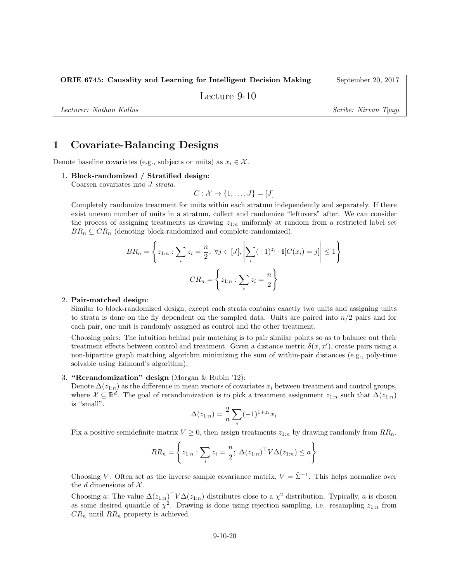ORIE 6745: Causality and Learning for Intelligent Decision Making September 20, 2017

Lecture 9-10

Lecturer: Nathan Kallus Scribe: Nirvan Tyagi

## 1 Covariate-Balancing Designs

Denote baseline covariates (e.g., subjects or units) as  $x_i \in \mathcal{X}$ .

#### 1. Block-randomized / Stratified design:

Coarsen covariates into J strata.

$$
C: \mathcal{X} \to \{1, \ldots, J\} = [J]
$$

Completely randomize treatment for units within each stratum independently and separately. If there exist uneven number of units in a stratum, collect and randomize "leftovers" after. We can consider the process of assigning treatments as drawing  $z_{1:n}$  uniformly at random from a restricted label set  $BR_n \subseteq CR_n$  (denoting block-randomized and complete-randomized).

$$
BR_n = \left\{ z_{1:n} : \sum_i z_i = \frac{n}{2}; \ \forall j \in [J], \left| \sum_i (-1)^{z_i} \cdot \mathbb{I}[C(x_i) = j] \right| \le 1 \right\}
$$

$$
CR_n = \left\{ z_{1:n} : \sum_i z_i = \frac{n}{2} \right\}
$$

#### 2. Pair-matched design:

Similar to block-randomized design, except each strata contains exactly two units and assigning units to strata is done on the fly dependent on the sampled data. Units are paired into  $n/2$  pairs and for each pair, one unit is randomly assigned as control and the other treatment.

Choosing pairs: The intuition behind pair matching is to pair similar points so as to balance out their treatment effects between control and treatment. Given a distance metric  $\delta(x, x')$ , create pairs using a non-bipartite graph matching algorithm minimizing the sum of within-pair distances (e.g., poly-time solvable using Edmond's algorithm).

### 3. "Rerandomization" design (Morgan & Rubin '12):

Denote  $\Delta(z_{1:n})$  as the difference in mean vectors of covariates  $x_i$  between treatment and control groups, where  $\mathcal{X} \subseteq \mathbb{R}^d$ . The goal of rerandomization is to pick a treatment assignment  $z_{1:n}$  such that  $\Delta(z_{1:n})$ is "small".

$$
\Delta(z_{1:n}) = \frac{2}{n} \sum_{i} (-1)^{1+z_i} x_i
$$

Fix a positive semidefinite matrix  $V \geq 0$ , then assign treatments  $z_{1:n}$  by drawing randomly from  $RR_n$ .

$$
RR_n = \left\{ z_{1:n} : \sum_i z_i = \frac{n}{2}; \ \Delta(z_{1:n})^\top V \Delta(z_{1:n}) \le a \right\}
$$

Choosing V: Often set as the inverse sample covariance matrix,  $V = \hat{\Sigma}^{-1}$ . This helps normalize over the d dimensions of  $\mathcal{X}$ .

Choosing a: The value  $\Delta(z_{1:n})^{\top}V\Delta(z_{1:n})$  distributes close to a  $\chi^2$  distribution. Typically, a is chosen as some desired quantile of  $\chi^2$ . Drawing is done using rejection sampling, i.e. resampling  $z_{1:n}$  from  $CR_n$  until  $RR_n$  property is achieved.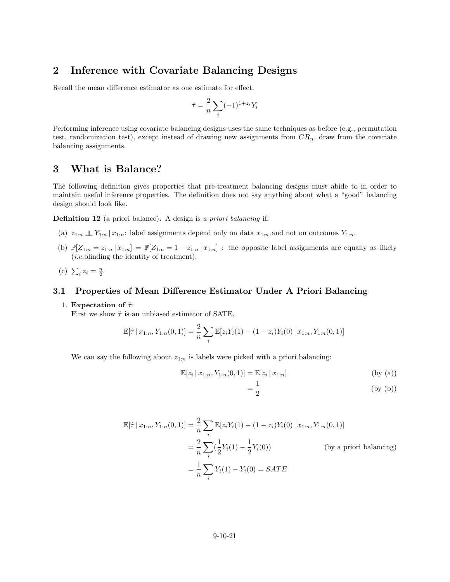## 2 Inference with Covariate Balancing Designs

Recall the mean difference estimator as one estimate for effect.

$$
\hat{\tau} = \frac{2}{n} \sum_{i} (-1)^{1+z_i} Y_i
$$

Performing inference using covariate balancing designs uses the same techniques as before (e.g., permutation test, randomization test), except instead of drawing new assignments from  $CR_n$ , draw from the covariate balancing assignments.

## 3 What is Balance?

The following definition gives properties that pre-treatment balancing designs must abide to in order to maintain useful inference properties. The definition does not say anything about what a "good" balancing design should look like.

Definition 12 (a priori balance). A design is a priori balancing if:

- (a)  $z_{1:n} \perp Y_{1:n} | x_{1:n}$ : label assignments depend only on data  $x_{1:n}$  and not on outcomes  $Y_{1:n}$ .
- (b)  $\mathbb{P}[Z_{1:n} = z_{1:n} | x_{1:n}] = \mathbb{P}[Z_{1:n} = 1 z_{1:n} | x_{1:n}]$ : the opposite label assignments are equally as likely (i.e.blinding the identity of treatment).
- (c)  $\sum_{i} z_i = \frac{n}{2}$

### 3.1 Properties of Mean Difference Estimator Under A Priori Balancing

#### 1. Expectation of  $\hat{\tau}$ :

First we show  $\hat{\tau}$  is an unbiased estimator of SATE.

$$
\mathbb{E}[\hat{\tau} | x_{1:n}, Y_{1:n}(0,1)] = \frac{2}{n} \sum_{i} \mathbb{E}[z_i Y_i(1) - (1-z_i) Y_i(0) | x_{1:n}, Y_{1:n}(0,1)]
$$

We can say the following about  $z_{1:n}$  is labels were picked with a priori balancing:

$$
\mathbb{E}[z_i \,|\, x_{1:n}, Y_{1:n}(0,1)] = \mathbb{E}[z_i \,|\, x_{1:n}] \tag{by (a)}
$$

$$
=\frac{1}{2}\tag{by (b)}
$$

$$
\mathbb{E}[\hat{\tau} | x_{1:n}, Y_{1:n}(0,1)] = \frac{2}{n} \sum_{i} \mathbb{E}[z_i Y_i(1) - (1 - z_i) Y_i(0) | x_{1:n}, Y_{1:n}(0,1)]
$$
  
=  $\frac{2}{n} \sum_{i} (\frac{1}{2} Y_i(1) - \frac{1}{2} Y_i(0))$  (by a priori balancing)  
=  $\frac{1}{n} \sum_{i} Y_i(1) - Y_i(0) = SATE$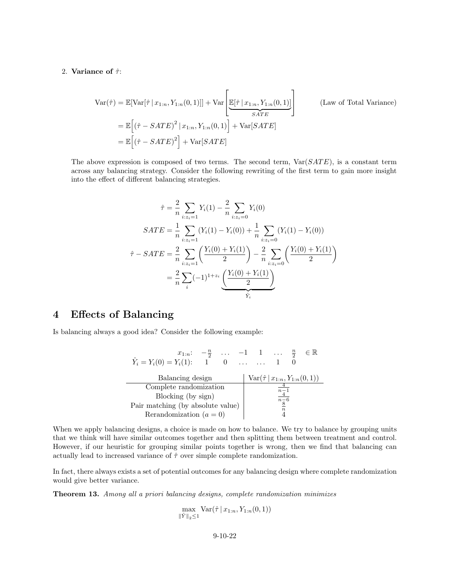#### 2. Variance of  $\hat{\tau}$ :

$$
\begin{split} \text{Var}(\hat{\tau}) &= \mathbb{E}[\text{Var}[\hat{\tau} \mid x_{1:n}, Y_{1:n}(0, 1)]] + \text{Var}\left[\underbrace{\mathbb{E}[\hat{\tau} \mid x_{1:n}, Y_{1:n}(0, 1)]}_{SATE}\right] \qquad \text{(Law of Total Variance)}\\ &= \mathbb{E}\left[\left(\hat{\tau} - SATE\right)^2 \mid x_{1:n}, Y_{1:n}(0, 1)\right] + \text{Var}[SATE] \\ &= \mathbb{E}\left[\left(\hat{\tau} - SATE\right)^2\right] + \text{Var}[SATE] \end{split}
$$

The above expression is composed of two terms. The second term,  $Var(SATE)$ , is a constant term across any balancing strategy. Consider the following rewriting of the first term to gain more insight into the effect of different balancing strategies.

$$
\hat{\tau} = \frac{2}{n} \sum_{i:z_i=1} Y_i(1) - \frac{2}{n} \sum_{i:z_i=0} Y_i(0)
$$
  
\n
$$
SATE = \frac{1}{n} \sum_{i:z_i=1} (Y_i(1) - Y_i(0)) + \frac{1}{n} \sum_{i:z_i=0} (Y_i(1) - Y_i(0))
$$
  
\n
$$
\hat{\tau} - SATE = \frac{2}{n} \sum_{i:z_i=1} \left( \frac{Y_i(0) + Y_i(1)}{2} \right) - \frac{2}{n} \sum_{i:z_i=0} \left( \frac{Y_i(0) + Y_i(1)}{2} \right)
$$
  
\n
$$
= \frac{2}{n} \sum_{i} (-1)^{1+z_i} \underbrace{\left( \frac{Y_i(0) + Y_i(1)}{2} \right)}_{\hat{Y}_i}
$$

# 4 Effects of Balancing

Is balancing always a good idea? Consider the following example:

| $x_{1:n}$ : $-\frac{n}{2}$ $-1$ 1 $\frac{n}{2}$ |  |  |                                                                     |  |  | $\in \mathbb{R}$ |  |
|-------------------------------------------------|--|--|---------------------------------------------------------------------|--|--|------------------|--|
| $Y_i = Y_i(0) = Y_i(1)$ :                       |  |  | $1 \quad 0 \quad \ldots \quad \ldots$                               |  |  |                  |  |
|                                                 |  |  |                                                                     |  |  |                  |  |
| Balancing design                                |  |  | $Var(\hat{\tau}   x_{1:n}, Y_{1:n}(0,1))$                           |  |  |                  |  |
| Complete randomization                          |  |  |                                                                     |  |  |                  |  |
| Blocking (by sign)                              |  |  | $\frac{\overline{n-1}}{\overline{n-6}}$<br>$\frac{\overline{8}}{8}$ |  |  |                  |  |
| Pair matching (by absolute value)               |  |  | $\boldsymbol{n}$                                                    |  |  |                  |  |
| Rerandomization $(a = 0)$                       |  |  |                                                                     |  |  |                  |  |

When we apply balancing designs, a choice is made on how to balance. We try to balance by grouping units that we think will have similar outcomes together and then splitting them between treatment and control. However, if our heuristic for grouping similar points together is wrong, then we find that balancing can actually lead to increased variance of  $\hat{\tau}$  over simple complete randomization.

In fact, there always exists a set of potential outcomes for any balancing design where complete randomization would give better variance.

Theorem 13. Among all a priori balancing designs, complete randomization minimizes

$$
\max_{\|\hat{Y}\|_2 \le 1} \text{Var}(\hat{\tau} | x_{1:n}, Y_{1:n}(0, 1))
$$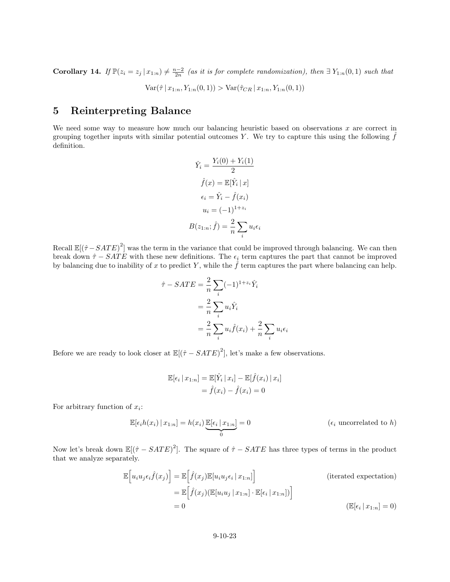**Corollary 14.** If  $\mathbb{P}(z_i = z_j | x_{1:n}) \neq \frac{n-2}{2n}$  (as it is for complete randomization), then  $\exists Y_{1:n}(0,1)$  such that

 $Var(\hat{\tau} | x_{1:n}, Y_{1:n}(0, 1)) > Var(\hat{\tau}_{CR} | x_{1:n}, Y_{1:n}(0, 1))$ 

## 5 Reinterpreting Balance

We need some way to measure how much our balancing heuristic based on observations  $x$  are correct in grouping together inputs with similar potential outcomes  $Y$ . We try to capture this using the following  $f$ definition.

$$
\hat{Y}_i = \frac{Y_i(0) + Y_i(1)}{2}
$$

$$
\hat{f}(x) = \mathbb{E}[\hat{Y}_i | x]
$$

$$
\epsilon_i = \hat{Y}_i - \hat{f}(x_i)
$$

$$
u_i = (-1)^{1+z_i}
$$

$$
B(z_{1:n}; \hat{f}) = \frac{2}{n} \sum_i u_i \epsilon_i
$$

Recall  $\mathbb{E}[(\hat{\tau} - SATE)^2]$  was the term in the variance that could be improved through balancing. We can then break down  $\hat{\tau}$  − SATE with these new definitions. The  $\epsilon_i$  term captures the part that cannot be improved by balancing due to inability of x to predict Y, while the  $\hat{f}$  term captures the part where balancing can help.

$$
\hat{\tau} - SATE = \frac{2}{n} \sum_{i} (-1)^{1 + z_i} \hat{Y}_i
$$

$$
= \frac{2}{n} \sum_{i} u_i \hat{Y}_i
$$

$$
= \frac{2}{n} \sum_{i} u_i \hat{f}(x_i) + \frac{2}{n} \sum_{i} u_i \epsilon_i
$$

Before we are ready to look closer at  $\mathbb{E}[(\hat{\tau} - SATE)^2]$ , let's make a few observations.

$$
\mathbb{E}[\epsilon_i | x_{1:n}] = \mathbb{E}[\hat{Y}_i | x_i] - \mathbb{E}[\hat{f}(x_i) | x_i]
$$

$$
= \hat{f}(x_i) - \hat{f}(x_i) = 0
$$

For arbitrary function of  $x_i$ :

$$
\mathbb{E}[\epsilon_i h(x_i) | x_{1:n}] = h(x_i) \underbrace{\mathbb{E}[\epsilon_i | x_{1:n}]}_{0} = 0
$$
 ( $\epsilon_i$  uncorrelated to h)

Now let's break down  $\mathbb{E}[(\hat{\tau} - SATE)^2]$ . The square of  $\hat{\tau} - SATE$  has three types of terms in the product that we analyze separately.

$$
\mathbb{E}\Big[u_i u_j \epsilon_i \hat{f}(x_j)\Big] = \mathbb{E}\Big[\hat{f}(x_j)\mathbb{E}[u_i u_j \epsilon_i | x_{1:n}]\Big]
$$
\n
$$
= \mathbb{E}\Big[\hat{f}(x_j)(\mathbb{E}[u_i u_j | x_{1:n}] \cdot \mathbb{E}[\epsilon_i | x_{1:n}])\Big]
$$
\n
$$
= 0
$$
\n(iterated expectation)

\n
$$
\mathbb{E}[\epsilon_i | x_{1:n}] = 0
$$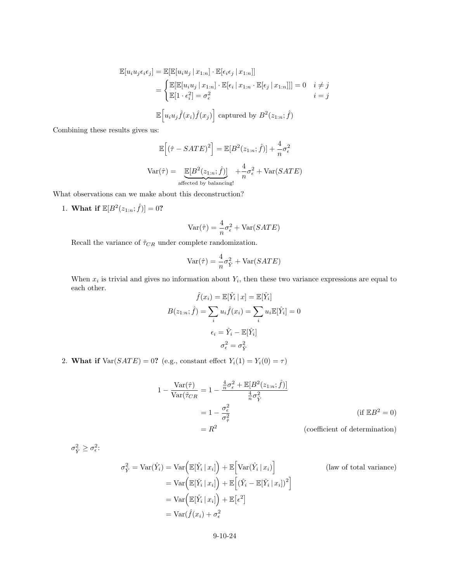$$
\mathbb{E}[u_i u_j \epsilon_i \epsilon_j] = \mathbb{E}[\mathbb{E}[u_i u_j | x_{1:n}] \cdot \mathbb{E}[\epsilon_i \epsilon_j | x_{1:n}]]
$$
  
\n
$$
= \begin{cases} \mathbb{E}[\mathbb{E}[u_i u_j | x_{1:n}] \cdot \mathbb{E}[\epsilon_i | x_{1:n} \cdot \mathbb{E}[\epsilon_j | x_{1:n}]]] = 0 & i \neq j \\ \mathbb{E}[1 \cdot \epsilon_i^2] = \sigma_{\epsilon}^2 & i = j \end{cases}
$$
  
\n
$$
\mathbb{E}\Big[u_i u_j \hat{f}(x_i) \hat{f}(x_j)\Big]
$$
 captured by  $B^2(z_{1:n}; \hat{f})$ 

Combining these results gives us:

$$
\mathbb{E}\left[\left(\hat{\tau} - SATE\right)^2\right] = \mathbb{E}[B^2(z_{1:n}; \hat{f})] + \frac{4}{n}\sigma_\epsilon^2
$$
  
Var $(\hat{\tau}) = \underbrace{\mathbb{E}[B^2(z_{1:n}; \hat{f})]}_{\text{affected by balancing!}} + \frac{4}{n}\sigma_\epsilon^2 + \text{Var}(SATE)$ 

What observations can we make about this deconstruction?

1. What if  $\mathbb{E}[B^2(z_{1:n}; \hat{f})] = 0$ ?

$$
\text{Var}(\hat{\tau}) = \frac{4}{n}\sigma_{\epsilon}^2 + \text{Var}(SATE)
$$

Recall the variance of  $\hat{\tau}_{CR}$  under complete randomization.

$$
Var(\hat{\tau}) = \frac{4}{n}\sigma_{\hat{Y}}^2 + Var(SATE)
$$

When  $x_i$  is trivial and gives no information about  $Y_i$ , then these two variance expressions are equal to each other. each other.  $\hat{f}(x_i) = \mathbb{E}[\hat{Y}_i \,|\, x] = \mathbb{E}[\hat{Y}_i]$ 

$$
f(x_i) = \mathbb{E}[Y_i | x] = \mathbb{E}[Y_i]
$$

$$
B(z_{1:n}; \hat{f}) = \sum_i u_i \hat{f}(x_i) = \sum_i u_i \mathbb{E}[\hat{Y}_i] = 0
$$

$$
\epsilon_i = \hat{Y}_i - \mathbb{E}[\hat{Y}_i]
$$

$$
\sigma_{\epsilon}^2 = \sigma_{\hat{Y}}^2
$$

2. What if  $Var(SATE) = 0$ ? (e.g., constant effect  $Y_i(1) = Y_i(0) = \tau$ )

$$
1 - \frac{\text{Var}(\hat{\tau})}{\text{Var}(\hat{\tau}_{CR})} = 1 - \frac{\frac{4}{n}\sigma_{\epsilon}^2 + \mathbb{E}[B^2(z_{1:n}; \hat{f})]}{\frac{4}{n}\sigma_{\hat{Y}}^2}
$$
  
=  $1 - \frac{\sigma_{\epsilon}^2}{\sigma_{\hat{\tau}}^2}$  (if  $\mathbb{E}B^2 = 0$ )  
=  $R^2$  (coefficient of determination)

 $\sigma_{\hat{Y}}^2 \geq \sigma_{\epsilon}^2$ :

$$
\sigma_{\hat{Y}}^2 = \text{Var}(\hat{Y}_i) = \text{Var}\Big(\mathbb{E}[\hat{Y}_i | x_i]\Big) + \mathbb{E}\Big[\text{Var}(\hat{Y}_i | x_i)\Big] \qquad \text{(law of total variance)}
$$
\n
$$
= \text{Var}\Big(\mathbb{E}[\hat{Y}_i | x_i]\Big) + \mathbb{E}\Big[(\hat{Y}_i - \mathbb{E}[\hat{Y}_i | x_i])^2\Big]
$$
\n
$$
= \text{Var}\Big(\mathbb{E}[\hat{Y}_i | x_i]\Big) + \mathbb{E}\big[\epsilon^2\big]
$$
\n
$$
= \text{Var}(\hat{f}(x_i) + \sigma_{\epsilon}^2)
$$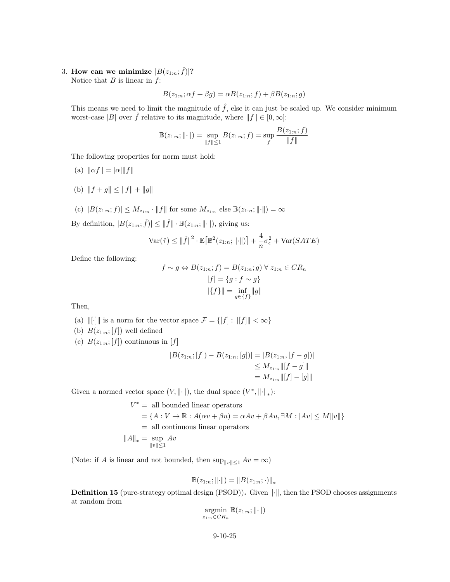3. How can we minimize  $|B(z_{1:n}; \hat{f})|$ ? Notice that  $B$  is linear in  $f$ :

$$
B(z_{1:n}; \alpha f + \beta g) = \alpha B(z_{1:n}; f) + \beta B(z_{1:n}; g)
$$

This means we need to limit the magnitude of  $\hat{f}$ , else it can just be scaled up. We consider minimum worst-case  $|B|$  over  $\hat{f}$  relative to its magnitude, where  $\|f\| \in [0,\infty]$ :

$$
\mathbb{B}(z_{1:n};\|\cdot\|) = \sup_{\|f\| \le 1} B(z_{1:n};f) = \sup_{f} \frac{B(z_{1:n};f)}{\|f\|}
$$

The following properties for norm must hold:

- (a)  $\|\alpha f\| = |\alpha| \|f\|$
- (b)  $||f + g|| \le ||f|| + ||g||$
- (c)  $|B(z_{1:n}; f)| \leq M_{z_{1:n}} \cdot ||f||$  for some  $M_{z_{1:n}}$  else  $\mathbb{B}(z_{1:n}; ||\cdot||) = \infty$

By definition,  $|B(z_{1:n}; \hat{f})| \leq ||\hat{f}|| \cdot \mathbb{B}(z_{1:n}; ||\cdot||)$ , giving us:

$$
\text{Var}(\hat{\tau}) \le ||\hat{f}||^2 \cdot \mathbb{E}\big[\mathbb{B}^2(z_{1:n};||\cdot||)\big] + \frac{4}{n}\sigma_{\epsilon}^2 + \text{Var}(SATE)
$$

Define the following:

$$
f \sim g \Leftrightarrow B(z_{1:n}; f) = B(z_{1:n}; g) \forall z_{1:n} \in CR_n
$$

$$
[f] = \{g : f \sim g\}
$$

$$
||\{f\}|| = \inf_{g \in \{f\}} ||g||
$$

Then,

- (a)  $\|[ \cdot ]\|$  is a norm for the vector space  $\mathcal{F} = \{[ f] : \| [ f] \| < \infty \}$
- (b)  $B(z_{1:n};[f])$  well defined
- (c)  $B(z_{1:n};[f])$  continuous in [f]

$$
|B(z_{1:n};[f]) - B(z_{1:n},[g])| = |B(z_{1:n},[f-g])|
$$
  
\n
$$
\leq M_{z_{1:n}} \|[f-g]\|
$$
  
\n
$$
= M_{z_{1:n}} \|[f] - [g]\|
$$

Given a normed vector space  $(V, \|\cdot\|)$ , the dual space  $(V^*, \|\cdot\|_*)$ :

$$
V^* = \text{ all bounded linear operators}
$$
  
=  $\{A : V \to \mathbb{R} : A(\alpha v + \beta u) = \alpha Av + \beta Au, \exists M : |Av| \le M ||v||\}$   
= all continuous linear operators  
 $||A||_* = \sup_{||v|| \le 1} Av$ 

(Note: if A is linear and not bounded, then  $\sup_{\|v\|\leq 1} Av = \infty$ )

$$
\mathbb{B}(z_{1:n};\|\cdot\|) = \|B(z_{1:n};\cdot)\|_*
$$

**Definition 15** (pure-strategy optimal design (PSOD)). Given  $\|\cdot\|$ , then the PSOD chooses assignments at random from

$$
\underset{z_{1:n}\in CR_n}{\operatorname{argmin}} \mathbb{B}(z_{1:n};\|\cdot\|)
$$